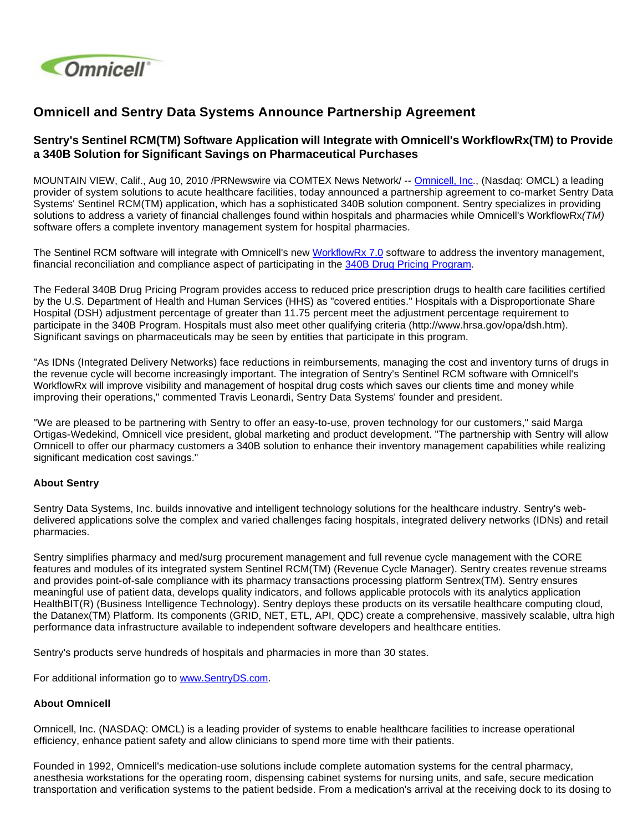

## **Omnicell and Sentry Data Systems Announce Partnership Agreement**

## **Sentry's Sentinel RCM(TM) Software Application will Integrate with Omnicell's WorkflowRx(TM) to Provide a 340B Solution for Significant Savings on Pharmaceutical Purchases**

MOUNTAIN VIEW, Calif., Aug 10, 2010 /PRNewswire via COMTEX News Network/ -- [Omnicell, Inc](http://www.omnicell.com/)., (Nasdaq: OMCL) a leading provider of system solutions to acute healthcare facilities, today announced a partnership agreement to co-market Sentry Data Systems' Sentinel RCM(TM) application, which has a sophisticated 340B solution component. Sentry specializes in providing solutions to address a variety of financial challenges found within hospitals and pharmacies while Omnicell's WorkflowRx(TM) software offers a complete inventory management system for hospital pharmacies.

The Sentinel RCM software will integrate with Omnicell's new [WorkflowRx 7.0](http://www.prnewswire.com/news-releases/omnicell-introduces-new-omnicell-packager-with-workflowrx-software-for-improved-pharmacy-efficiency-99828969.html) software to address the inventory management, financial reconciliation and compliance aspect of participating in the [340B Drug Pricing Program.](http://www.hrsa.gov/opa/introduction.htm)

The Federal 340B Drug Pricing Program provides access to reduced price prescription drugs to health care facilities certified by the U.S. Department of Health and Human Services (HHS) as "covered entities." Hospitals with a Disproportionate Share Hospital (DSH) adjustment percentage of greater than 11.75 percent meet the adjustment percentage requirement to participate in the 340B Program. Hospitals must also meet other qualifying criteria (http://www.hrsa.gov/opa/dsh.htm). Significant savings on pharmaceuticals may be seen by entities that participate in this program.

"As IDNs (Integrated Delivery Networks) face reductions in reimbursements, managing the cost and inventory turns of drugs in the revenue cycle will become increasingly important. The integration of Sentry's Sentinel RCM software with Omnicell's WorkflowRx will improve visibility and management of hospital drug costs which saves our clients time and money while improving their operations," commented Travis Leonardi, Sentry Data Systems' founder and president.

"We are pleased to be partnering with Sentry to offer an easy-to-use, proven technology for our customers," said Marga Ortigas-Wedekind, Omnicell vice president, global marketing and product development. "The partnership with Sentry will allow Omnicell to offer our pharmacy customers a 340B solution to enhance their inventory management capabilities while realizing significant medication cost savings."

## **About Sentry**

Sentry Data Systems, Inc. builds innovative and intelligent technology solutions for the healthcare industry. Sentry's webdelivered applications solve the complex and varied challenges facing hospitals, integrated delivery networks (IDNs) and retail pharmacies.

Sentry simplifies pharmacy and med/surg procurement management and full revenue cycle management with the CORE features and modules of its integrated system Sentinel RCM(TM) (Revenue Cycle Manager). Sentry creates revenue streams and provides point-of-sale compliance with its pharmacy transactions processing platform Sentrex(TM). Sentry ensures meaningful use of patient data, develops quality indicators, and follows applicable protocols with its analytics application HealthBIT(R) (Business Intelligence Technology). Sentry deploys these products on its versatile healthcare computing cloud, the Datanex(TM) Platform. Its components (GRID, NET, ETL, API, QDC) create a comprehensive, massively scalable, ultra high performance data infrastructure available to independent software developers and healthcare entities.

Sentry's products serve hundreds of hospitals and pharmacies in more than 30 states.

For additional information go to [www.SentryDS.com](http://www.sentryds.com/).

## **About Omnicell**

Omnicell, Inc. (NASDAQ: OMCL) is a leading provider of systems to enable healthcare facilities to increase operational efficiency, enhance patient safety and allow clinicians to spend more time with their patients.

Founded in 1992, Omnicell's medication-use solutions include complete automation systems for the central pharmacy, anesthesia workstations for the operating room, dispensing cabinet systems for nursing units, and safe, secure medication transportation and verification systems to the patient bedside. From a medication's arrival at the receiving dock to its dosing to